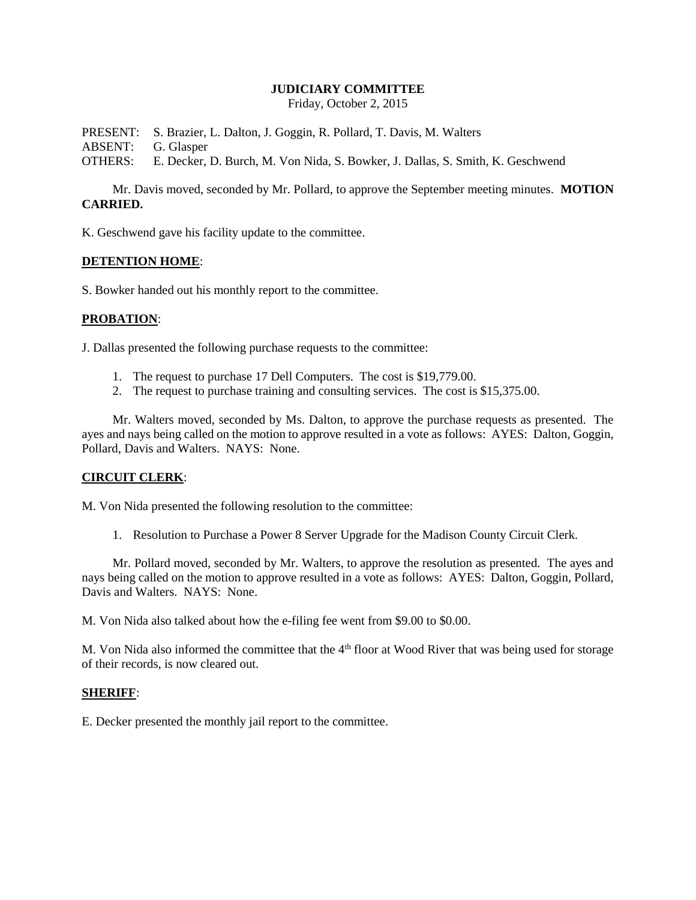#### **JUDICIARY COMMITTEE**

Friday, October 2, 2015

PRESENT: S. Brazier, L. Dalton, J. Goggin, R. Pollard, T. Davis, M. Walters ABSENT: G. Glasper OTHERS: E. Decker, D. Burch, M. Von Nida, S. Bowker, J. Dallas, S. Smith, K. Geschwend

Mr. Davis moved, seconded by Mr. Pollard, to approve the September meeting minutes. **MOTION CARRIED.**

K. Geschwend gave his facility update to the committee.

#### **DETENTION HOME**:

S. Bowker handed out his monthly report to the committee.

## **PROBATION**:

J. Dallas presented the following purchase requests to the committee:

- 1. The request to purchase 17 Dell Computers. The cost is \$19,779.00.
- 2. The request to purchase training and consulting services. The cost is \$15,375.00.

Mr. Walters moved, seconded by Ms. Dalton, to approve the purchase requests as presented. The ayes and nays being called on the motion to approve resulted in a vote as follows: AYES: Dalton, Goggin, Pollard, Davis and Walters. NAYS: None.

## **CIRCUIT CLERK**:

M. Von Nida presented the following resolution to the committee:

1. Resolution to Purchase a Power 8 Server Upgrade for the Madison County Circuit Clerk.

Mr. Pollard moved, seconded by Mr. Walters, to approve the resolution as presented. The ayes and nays being called on the motion to approve resulted in a vote as follows: AYES: Dalton, Goggin, Pollard, Davis and Walters. NAYS: None.

M. Von Nida also talked about how the e-filing fee went from \$9.00 to \$0.00.

M. Von Nida also informed the committee that the  $4<sup>th</sup>$  floor at Wood River that was being used for storage of their records, is now cleared out.

## **SHERIFF**:

E. Decker presented the monthly jail report to the committee.